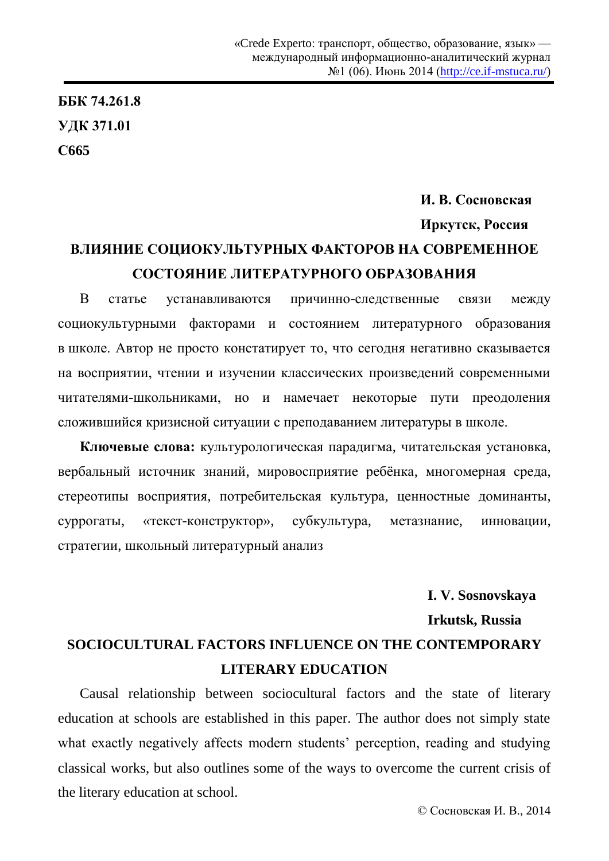## **ȻȻɄ 74.261.8 ɍȾɄ 371.01 ɋ665**

## $$ **Иркутск, Россия** ВЛИЯНИЕ СОЦИОКУЛЬТУРНЫХ ФАКТОРОВ НА СОВРЕМЕННОЕ СОСТОЯНИЕ ЛИТЕРАТУРНОГО ОБРАЗОВАНИЯ

В статье устанавливаются причинно-следственные связи между социокультурными факторами и состоянием литературного образования в школе. Автор не просто констатирует то, что сегодня негативно сказывается на восприятии, чтении и изучении классических произведений современными читателями-школьниками, но и намечает некоторые пути преодоления сложившийся кризисной ситуации с преподаванием литературы в школе.

Ключевые слова: культурологическая парадигма, читательская установка, вербальный источник знаний, мировосприятие ребёнка, многомерная среда, стереотипы восприятия, потребительская культура, ценностные доминанты, суррогаты, «текст-конструктор», субкультура, метазнание, инновации, стратегии, школьный литературный анализ

**I. V. Sosnovskaya Irkutsk, Russia SOCIOCULTURAL FACTORS INFLUENCE ON THE CONTEMPORARY LITERARY EDUCATION** 

Causal relationship between sociocultural factors and the state of literary education at schools are established in this paper. The author does not simply state what exactly negatively affects modern students' perception, reading and studying classical works, but also outlines some of the ways to overcome the current crisis of the literary education at school.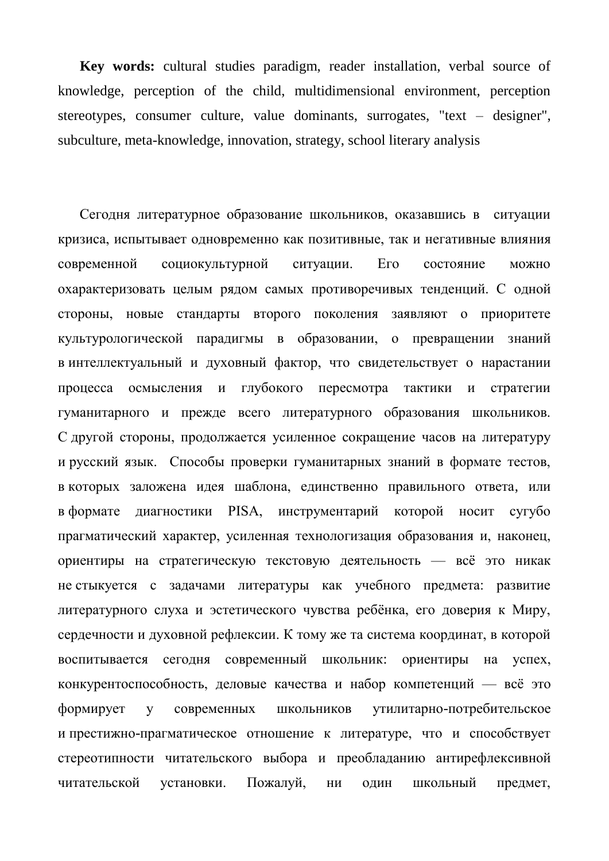**Key words:** cultural studies paradigm, reader installation, verbal source of knowledge, perception of the child, multidimensional environment, perception stereotypes, consumer culture, value dominants, surrogates, "text – designer", subculture, meta-knowledge, innovation, strategy, school literary analysis

Сегодня литературное образование школьников, оказавшись в ситуации кризиса, испытывает одновременно как позитивные, так и негативные влияния современной социокультурной ситуации. Его состояние можно охарактеризовать целым рядом самых противоречивых тенденций. С одной стороны, новые стандарты второго поколения заявляют о приоритете культурологической парадигмы в образовании, о превращении знаний в интеллектуальный и духовный фактор, что свидетельствует о нарастании процесса осмысления и глубокого пересмотра тактики и стратегии гуманитарного и прежде всего литературного образования школьников. С другой стороны, продолжается усиленное сокращение часов на литературу и русский язык. Способы проверки гуманитарных знаний в формате тестов, в которых заложена идея шаблона, единственно правильного ответа, или в формате диагностики PISA, инструментарий которой носит сугубо прагматический характер, усиленная технологизация образования и, наконец, ориентиры на стратегическую текстовую деятельность — всё это никак не стыкуется с задачами литературы как учебного предмета: развитие литературного слуха и эстетического чувства ребёнка, его доверия к Миру, сердечности и духовной рефлексии. К тому же та система координат, в которой воспитывается сегодня современный школьник: ориентиры на успех, конкурентоспособность, деловые качества и набор компетенций — всё это формирует у современных школьников утилитарно-потребительское и престижно-прагматическое отношение к литературе, что и способствует стереотипности читательского выбора и преобладанию антирефлексивной читательской установки. Пожалуй, ни один школьный предмет,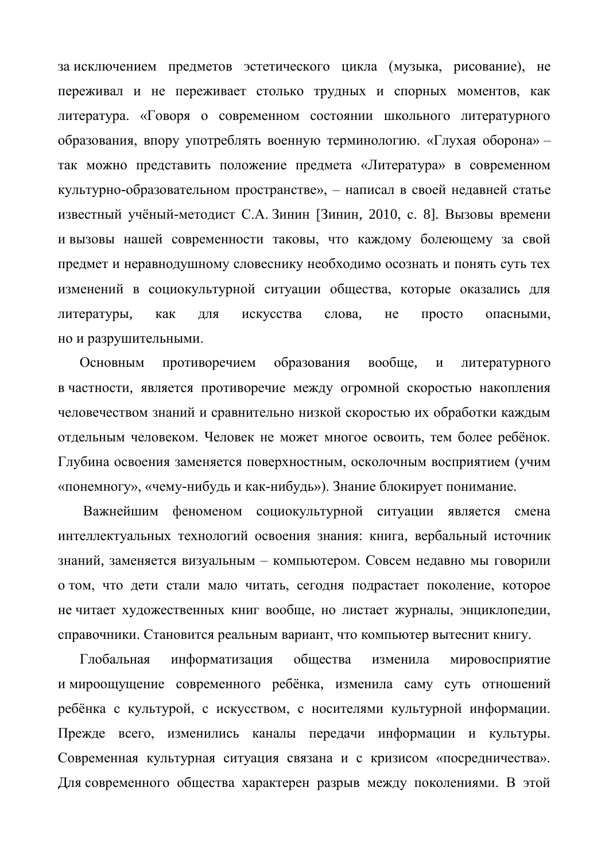за исключением предметов эстетического цикла (музыка, рисование), не переживал и не переживает столько трудных и спорных моментов, как литература. «Говоря о современном состоянии школьного литературного образования, впору употреблять военную терминологию. «Глухая оборона» – так можно представить положение предмета «Литература» в современном культурно-образовательном пространстве», – написал в своей недавней статье известный учёный-методист С.А. Зинин [Зинин, 2010, с. 8]. Вызовы времени и вызовы нашей современности таковы, что каждому болеющему за свой предмет и неравнодушному словеснику необходимо осознать и понять суть тех изменений в социокультурной ситуации общества, которые оказались для литературы, как для искусства слова, не просто опасными, но и разрушительными.

Основным противоречием образования вообще, и литературного в частности, является противоречие между огромной скоростью накопления человечеством знаний и сравнительно низкой скоростью их обработки каждым отдельным человеком. Человек не может многое освоить, тем более ребёнок. Глубина освоения заменяется поверхностным, осколочным восприятием (учим «понемногу», «чему-нибудь и как-нибудь»). Знание блокирует понимание.

Важнейшим феноменом социокультурной ситуации является смена интеллектуальных технологий освоения знания: книга, вербальный источник знаний, заменяется визуальным – компьютером. Совсем недавно мы говорили о том, что дети стали мало читать, сегодня подрастает поколение, которое не читает художественных книг вообще, но листает журналы, энциклопедии, справочники. Становится реальным вариант, что компьютер вытеснит книгу.

Глобальная информатизация общества изменила мировосприятие и мироощущение современного ребёнка, изменила саму суть отношений ребёнка с культурой, с искусством, с носителями культурной информации. Прежде всего, изменились каналы передачи информации и культуры. Современная культурная ситуация связана и с кризисом «посредничества». Для современного общества характерен разрыв между поколениями. В этой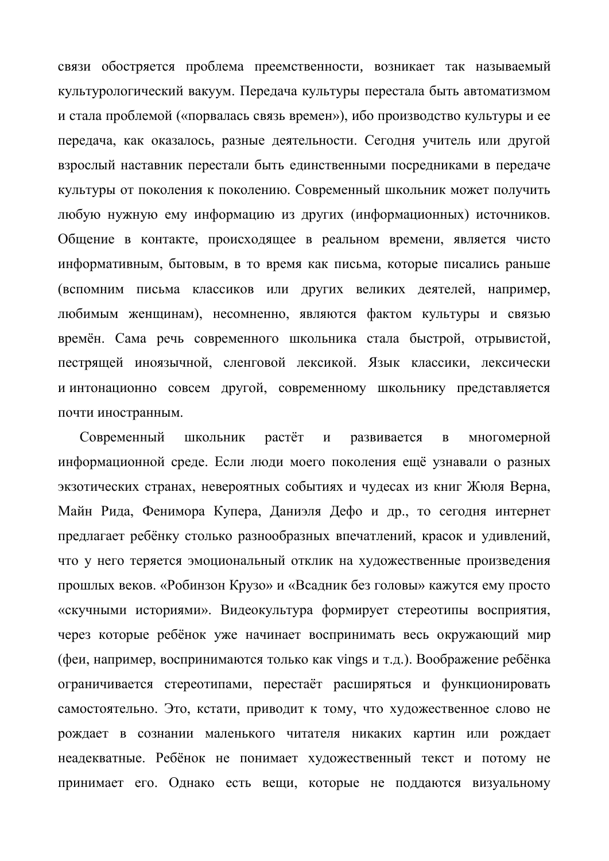связи обостряется проблема преемственности, возникает так называемый культурологический вакуум. Передача культуры перестала быть автоматизмом и стала проблемой («порвалась связь времен»), ибо производство культуры и ее передача, как оказалось, разные деятельности. Сегодня учитель или другой взрослый наставник перестали быть единственными посредниками в передаче культуры от поколения к поколению. Современный школьник может получить любую нужную ему информацию из других (информационных) источников. Общение в контакте, происходящее в реальном времени, является чисто информативным, бытовым, в то время как письма, которые писались раньше (вспомним письма классиков или других великих деятелей, например, любимым женщинам), несомненно, являются фактом культуры и связью времён. Сама речь современного школьника стала быстрой, отрывистой, пестрящей иноязычной, сленговой лексикой. Язык классики, лексически и интонационно совсем другой, современному школьнику представляется почти иностранным.

Современный школьник растёт и развивается в многомерной информационной среде. Если люди моего поколения ещё узнавали о разных экзотических странах, невероятных событиях и чудесах из книг Жюля Верна, Майн Рида, Фенимора Купера, Даниэля Дефо и др., то сегодня интернет предлагает ребёнку столько разнообразных впечатлений, красок и удивлений, что у него теряется эмоциональный отклик на художественные произведения прошлых веков. «Робинзон Крузо» и «Всадник без головы» кажутся ему просто «скучными историями». Видеокультура формирует стереотипы восприятия, через которые ребёнок уже начинает воспринимать весь окружающий мир (феи, например, воспринимаются только как vings и т.д.). Воображение ребёнка ограничивается стереотипами, перестаёт расширяться и функционировать самостоятельно. Это, кстати, приводит к тому, что художественное слово не рождает в сознании маленького читателя никаких картин или рождает неадекватные. Ребёнок не понимает художественный текст и потому не принимает его. Однако есть вещи, которые не поддаются визуальному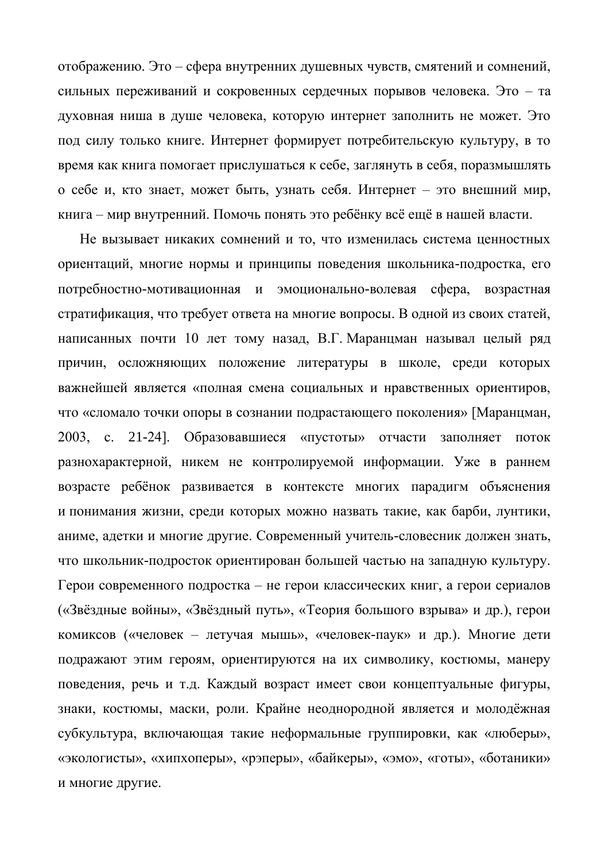отображению. Это – сфера внутренних душевных чувств, смятений и сомнений, сильных переживаний и сокровенных сердечных порывов человека. Это – та духовная ниша в душе человека, которую интернет заполнить не может. Это под силу только книге. Интернет формирует потребительскую культуру, в то время как книга помогает прислушаться к себе, заглянуть в себя, поразмышлять о себе и, кто знает, может быть, узнать себя. Интернет – это внешний мир, книга – мир внутренний. Помочь понять это ребёнку всё ещё в нашей власти.

Не вызывает никаких сомнений и то, что изменилась система ценностных ориентаций, многие нормы и принципы поведения школьника-подростка, его потребностно-мотивационная и эмоционально-волевая сфера, возрастная стратификация, что требует ответа на многие вопросы. В одной из своих статей, написанных почти 10 лет тому назад, В.Г. Маранцман называл целый ряд причин, осложняющих положение литературы в школе, среди которых важнейшей является «полная смена социальных и нравственных ориентиров, что «сломало точки опоры в сознании подрастающего поколения» [Маранцман, 2003, с. 21-24]. Образовавшиеся «пустоты» отчасти заполняет поток разнохарактерной, никем не контролируемой информации. Уже в раннем возрасте ребёнок развивается в контексте многих парадигм объяснения и понимания жизни, среди которых можно назвать такие, как барби, лунтики, аниме, адетки и многие другие. Современный учитель-словесник должен знать, что школьник-подросток ориентирован большей частью на западную культуру. Герои современного подростка – не герои классических книг, а герои сериалов («Звёздные войны», «Звёздный путь», «Теория большого взрыва» и др.), герои комиксов («человек – летучая мышь», «человек-паук» и др.). Многие дети подражают этим героям, ориентируются на их символику, костюмы, манеру поведения, речь и т.д. Каждый возраст имеет свои концептуальные фигуры, знаки, костюмы, маски, роли. Крайне неоднородной является и молодёжная субкультура, включающая такие неформальные группировки, как «люберы», «экологисты», «хипхоперы», «рэперы», «байкеры», «эмо», «готы», «ботаники» и многие другие.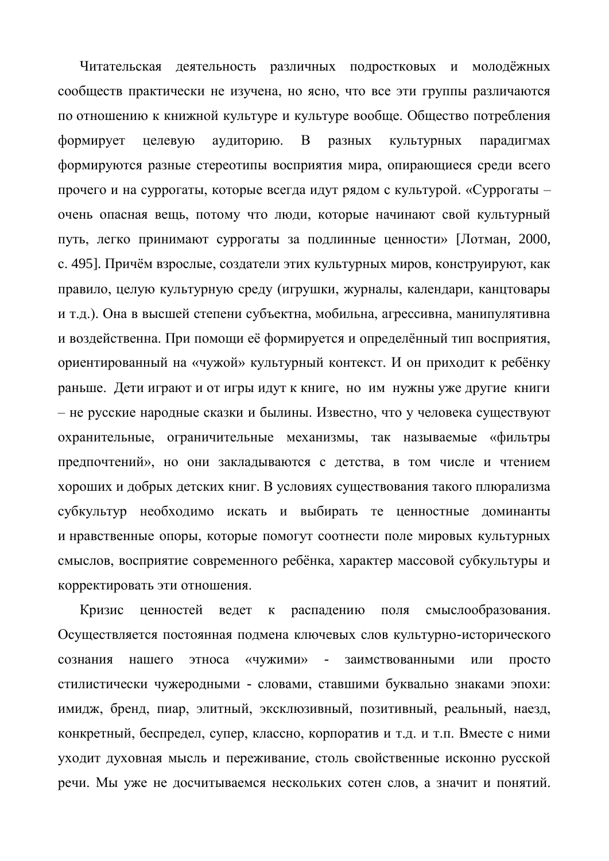Читательская деятельность различных подростковых и молодёжных сообществ практически не изучена, но ясно, что все эти группы различаются по отношению к книжной культуре и культуре вообще. Общество потребления формирует целевую аудиторию. В разных культурных парадигмах формируются разные стереотипы восприятия мира, опирающиеся среди всего прочего и на суррогаты, которые всегда идут рядом с культурой. «Суррогаты – очень опасная вещь, потому что люди, которые начинают свой культурный путь, легко принимают суррогаты за подлинные ценности» [Лотман, 2000, с. 495]. Причём взрослые, создатели этих культурных миров, конструируют, как правило, целую культурную среду (игрушки, журналы, календари, канцтовары и т.д.). Она в высшей степени субъектна, мобильна, агрессивна, манипулятивна и воздейственна. При помощи её формируется и определённый тип восприятия, ориентированный на «чужой» культурный контекст. И он приходит к ребёнку раньше. Дети играют и от игры идут к книге, но им нужны уже другие книги – не русские народные сказки и былины. Известно, что у человека существуют охранительные, ограничительные механизмы, так называемые «фильтры предпочтений», но они закладываются с детства, в том числе и чтением хороших и добрых детских книг. В условиях существования такого плюрализма субкультур необходимо искать и выбирать те ценностные доминанты и нравственные опоры, которые помогут соотнести поле мировых культурных смыслов, восприятие современного ребёнка, характер массовой субкультуры и корректировать эти отношения.

Кризис ценностей ведет к распадению поля смыслообразования. Осуществляется постоянная подмена ключевых слов культурно-исторического сознания нашего этноса «чужими» - заимствованными или просто стилистически чужеродными - словами, ставшими буквально знаками эпохи: имидж, бренд, пиар, элитный, эксклюзивный, позитивный, реальный, наезд, конкретный, беспредел, супер, классно, корпоратив и т.д. и т.п. Вместе с ними уходит духовная мысль и переживание, столь свойственные исконно русской речи. Мы уже не досчитываемся нескольких сотен слов, а значит и понятий.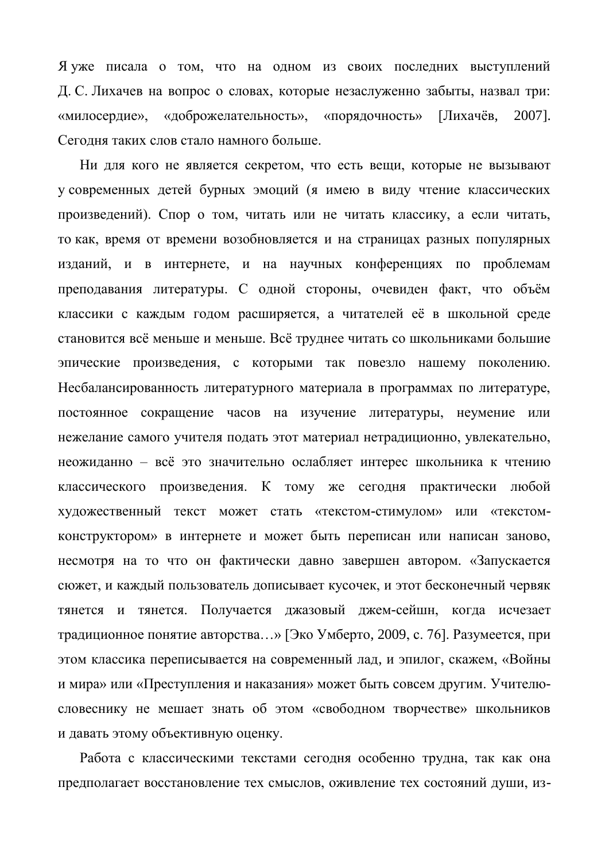Я уже писала о том, что на одном из своих последних выступлений Д. С. Лихачев на вопрос о словах, которые незаслуженно забыты, назвал три: «милосердие», «доброжелательность», «порядочность» [Лихачёв, 2007]. Сегодня таких слов стало намного больше.

Ни для кого не является секретом, что есть вещи, которые не вызывают у современных детей бурных эмоций (я имею в виду чтение классических произведений). Спор о том, читать или не читать классику, а если читать, то как, время от времени возобновляется и на страницах разных популярных изданий, и в интернете, и на научных конференциях по проблемам преподавания литературы. С одной стороны, очевиден факт, что объём классики с каждым годом расширяется, а читателей её в школьной среде становится всё меньше и меньше. Всё труднее читать со школьниками большие эпические произведения, с которыми так повезло нашему поколению. Несбалансированность литературного материала в программах по литературе, постоянное сокращение часов на изучение литературы, неумение или нежелание самого учителя подать этот материал нетрадиционно, увлекательно, неожиданно – всё это значительно ослабляет интерес школьника к чтению классического произведения. К тому же сегодня практически любой художественный текст может стать «текстом-стимулом» или «текстомконструктором» в интернете и может быть переписан или написан заново, несмотря на то что он фактически давно завершен автором. «Запускается сюжет, и каждый пользователь дописывает кусочек, и этот бесконечный червяк тянется и тянется. Получается джазовый джем-сейшн, когда исчезает традиционное понятие авторства...» [Эко Умберто, 2009, с. 76]. Разумеется, при этом классика переписывается на современный лад, и эпилог, скажем, «Войны и мира» или «Преступления и наказания» может быть совсем другим. Учителюсловеснику не мешает знать об этом «свободном творчестве» школьников и давать этому объективную оценку.

Работа с классическими текстами сегодня особенно трудна, так как она предполагает восстановление тех смыслов, оживление тех состояний души, из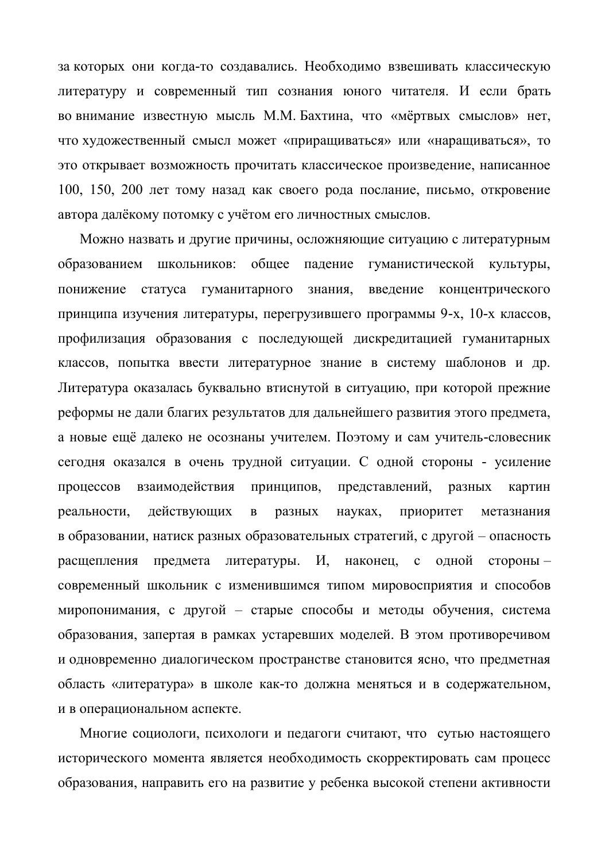за которых они когда-то создавались. Необходимо взвешивать классическую литературу и современный тип сознания юного читателя. И если брать во внимание известную мысль М.М. Бахтина, что «мёртвых смыслов» нет, что художественный смысл может «приращиваться» или «наращиваться», то это открывает возможность прочитать классическое произведение, написанное 100, 150, 200 лет тому назад как своего рода послание, письмо, откровение автора далёкому потомку с учётом его личностных смыслов.

Можно назвать и другие причины, осложняющие ситуацию с литературным образованием школьников: обшее паление гуманистической культуры, понижение статуса гуманитарного знания, введение концентрического принципа изучения литературы, перегрузившего программы 9-х, 10-х классов, профилизация образования с последующей дискредитацией гуманитарных классов, попытка ввести литературное знание в систему шаблонов и др. Литература оказалась буквально втиснутой в ситуацию, при которой прежние реформы не дали благих результатов для дальнейшего развития этого предмета, а новые ещё далеко не осознаны учителем. Поэтому и сам учитель-словесник сегодня оказался в очень трудной ситуации. С одной стороны - усиление процессов взаимодействия принципов, представлений, разных картин реальности, действующих в разных науках, приоритет метазнания в образовании, натиск разных образовательных стратегий, с другой – опасность расщепления предмета литературы. И, наконец, с одной сторонысовременный школьник с изменившимся типом мировосприятия и способов миропонимания, с другой – старые способы и методы обучения, система образования, запертая в рамках устаревших моделей. В этом противоречивом и одновременно диалогическом пространстве становится ясно, что предметная область «литература» в школе как-то должна меняться и в содержательном, и в операциональном аспекте.

Многие социологи, психологи и педагоги считают, что сутью настоящего исторического момента является необходимость скорректировать сам процесс образования, направить его на развитие у ребенка высокой степени активности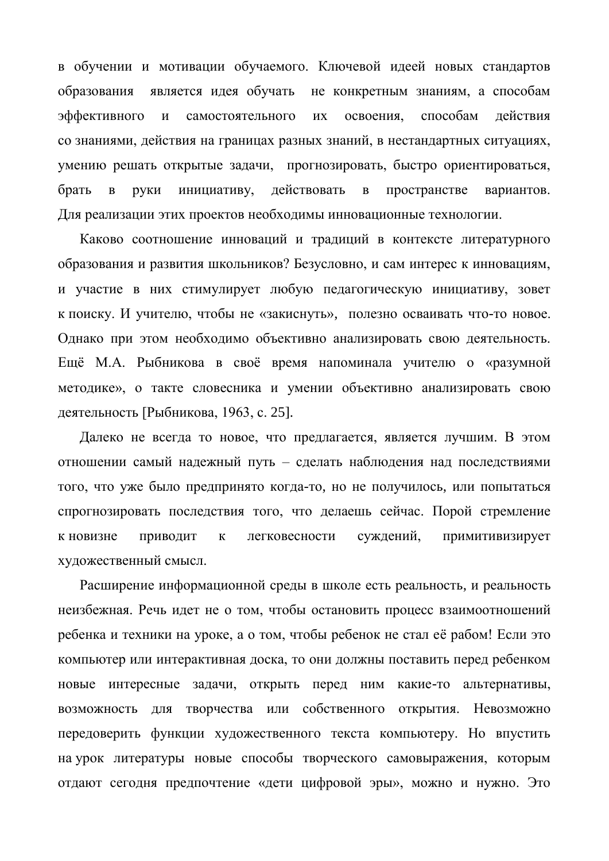в обучении и мотивации обучаемого. Ключевой идеей новых стандартов образования является идея обучать не конкретным знаниям, а способам эффективного и самостоятельного их освоения, способам действия со знаниями, действия на границах разных знаний, в нестандартных ситуациях, умению решать открытые задачи, прогнозировать, быстро ориентироваться, брать в руки инициативу, действовать в пространстве вариантов. Для реализации этих проектов необходимы инновационные технологии.

Каково соотношение инноваций и традиций в контексте литературного образования и развития школьников? Безусловно, и сам интерес к инновациям, и участие в них стимулирует любую педагогическую инициативу, зовет к поиску. И учителю, чтобы не «закиснуть», полезно осваивать что-то новое. Однако при этом необходимо объективно анализировать свою деятельность. Ещё М.А. Рыбникова в своё время напоминала учителю о «разумной методике», о такте словесника и умении объективно анализировать свою деятельность [Рыбникова, 1963, с. 25].

Далеко не всегда то новое, что предлагается, является лучшим. В этом отношении самый надежный путь – сделать наблюдения над последствиями того, что уже было предпринято когда-то, но не получилось, или попытаться спрогнозировать последствия того, что делаешь сейчас. Порой стремление к новизне приводит к легковесности суждений, примитивизирует художественный смысл.

Расширение информационной среды в школе есть реальность, и реальность неизбежная. Речь идет не о том, чтобы остановить процесс взаимоотношений ребенка и техники на уроке, а о том, чтобы ребенок не стал её рабом! Если это компьютер или интерактивная доска, то они должны поставить перед ребенком новые интересные задачи, открыть перед ним какие-то альтернативы, возможность для творчества или собственного открытия. Невозможно передоверить функции художественного текста компьютеру. Но впустить на урок литературы новые способы творческого самовыражения, которым отдают сегодня предпочтение «дети цифровой эры», можно и нужно. Это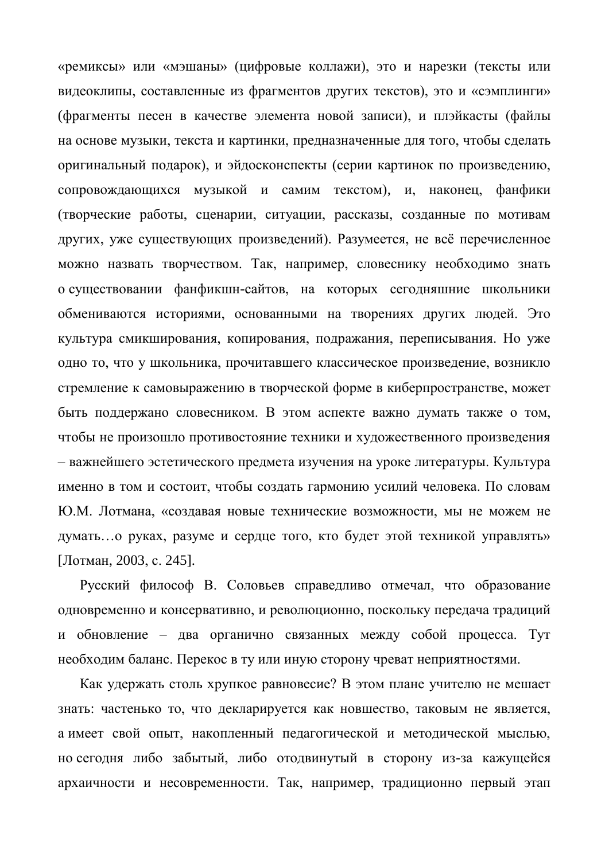«ремиксы» или «мэшаны» (цифровые коллажи), это и нарезки (тексты или видеоклипы, составленные из фрагментов других текстов), это и «сэмплинги» (фрагменты песен в качестве элемента новой записи), и плэйкасты (файлы на основе музыки, текста и картинки, предназначенные для того, чтобы сделать оригинальный подарок), и эйдосконспекты (серии картинок по произведению, сопровождающихся музыкой и самим текстом), и, наконец, фанфики (творческие работы, сценарии, ситуации, рассказы, созданные по мотивам других, уже существующих произведений). Разумеется, не всё перечисленное можно назвать творчеством. Так, например, словеснику необходимо знать о существовании фанфикшн-сайтов, на которых сегодняшние школьники обмениваются историями, основанными на творениях других людей. Это культура смикширования, копирования, подражания, переписывания. Но уже одно то, что у школьника, прочитавшего классическое произведение, возникло стремление к самовыражению в творческой форме в киберпространстве, может быть поддержано словесником. В этом аспекте важно думать также о том, чтобы не произошло противостояние техники и художественного произведения – важнейшего эстетического предмета изучения на уроке литературы. Культура именно в том и состоит, чтобы создать гармонию усилий человека. По словам Ю.М. Лотмана, «создавая новые технические возможности, мы не можем не думать... о руках, разуме и сердце того, кто будет этой техникой управлять» [Лотман, 2003, с. 245].

Русский философ В. Соловьев справедливо отмечал, что образование одновременно и консервативно, и революционно, поскольку передача традиций и обновление – два органично связанных между собой процесса. Тут необходим баланс. Перекос в ту или иную сторону чреват неприятностями.

Как удержать столь хрупкое равновесие? В этом плане учителю не мешает знать: частенько то, что декларируется как новшество, таковым не является, а имеет свой опыт, накопленный педагогической и методической мыслью, но сегодня либо забытый, либо отодвинутый в сторону из-за кажущейся архаичности и несовременности. Так, например, традиционно первый этап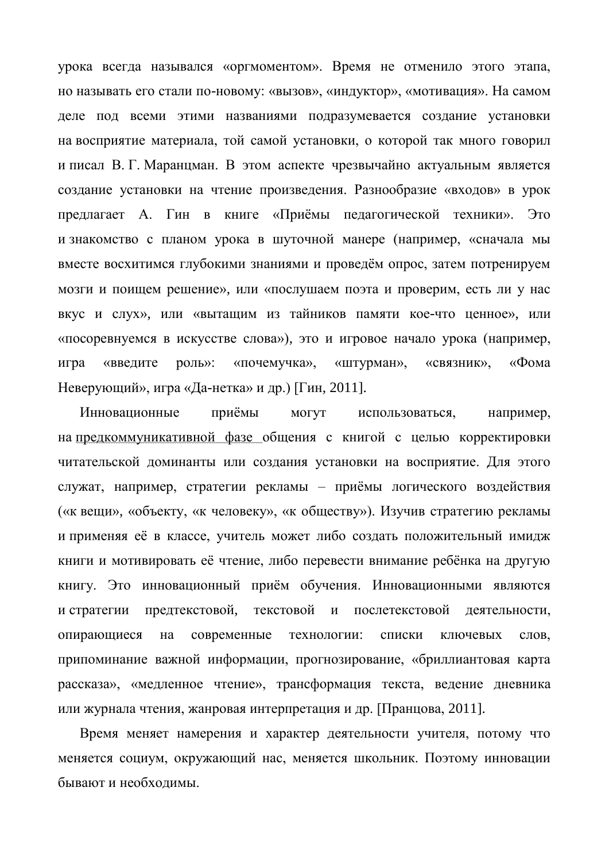урока всегда назывался «оргмоментом». Время не отменило этого этапа, но называть его стали по-новому: «вызов», «индуктор», «мотивация». На самом деле под всеми этими названиями подразумевается создание установки на восприятие материала, той самой установки, о которой так много говорил и писал В. Г. Маранцман. В этом аспекте чрезвычайно актуальным является создание установки на чтение произведения. Разнообразие «входов» в урок предлагает А. Гин в книге «Приёмы педагогической техники». Это и знакомство с планом урока в шуточной манере (например, «сначала мы вместе восхитимся глубокими знаниями и проведём опрос, затем потренируем мозги и поищем решение», или «послушаем поэта и проверим, есть ли у нас вкус и слух», или «вытащим из тайников памяти кое-что ценное», или «посоревнуемся в искусстве слова»), это и игровое начало урока (например, игра «введите роль»: «почемучка», «штурман», «связник», «Фома Неверующий», игра «Да-нетка» и др.) [Гин, 2011].

Инновационные приёмы могут использоваться, например, на предкоммуникативной фазе общения с книгой с целью корректировки читательской доминанты или создания установки на восприятие. Для этого служат, например, стратегии рекламы – приёмы логического воздействия («к вещи», «объекту, «к человеку», «к обществу»). Изучив стратегию рекламы и применяя её в классе, учитель может либо создать положительный имидж книги и мотивировать её чтение, либо перевести внимание ребёнка на другую книгу. Это инновационный приём обучения. Инновационными являются и стратегии предтекстовой, текстовой и послетекстовой деятельности, опирающиеся на современные технологии: списки ключевых слов, припоминание важной информации, прогнозирование, «бриллиантовая карта рассказа», «медленное чтение», трансформация текста, ведение дневника или журнала чтения, жанровая интерпретация и др. [Пранцова, 2011].

Время меняет намерения и характер деятельности учителя, потому что меняется социум, окружающий нас, меняется школьник. Поэтому инновации бывают и необходимы.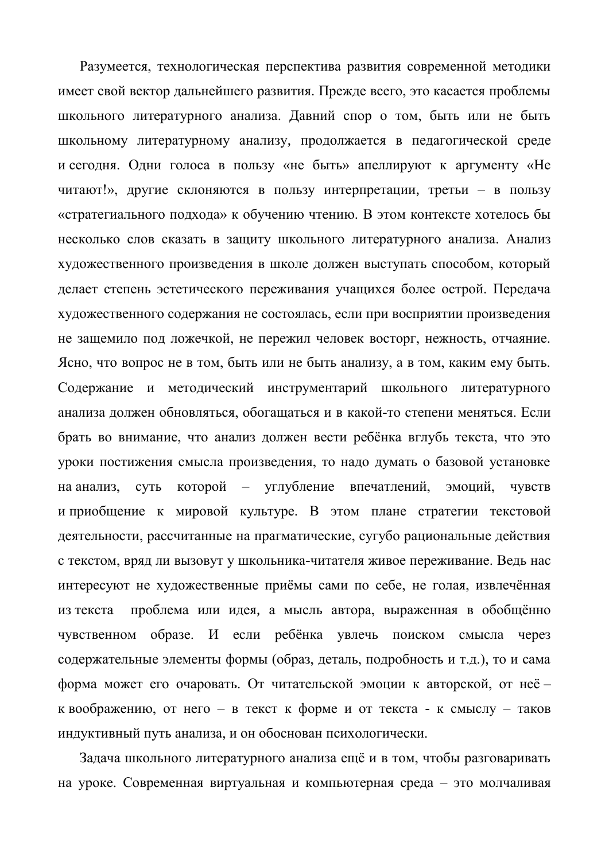Разумеется, технологическая перспектива развития современной методики имеет свой вектор дальнейшего развития. Прежде всего, это касается проблемы школьного литературного анализа. Давний спор о том, быть или не быть школьному литературному анализу, продолжается в педагогической среде и сегодня. Одни голоса в пользу «не быть» апеллируют к аргументу «Не читают!», другие склоняются в пользу интерпретации, третьи – в пользу «стратегиального подхода» к обучению чтению. В этом контексте хотелось бы несколько слов сказать в защиту школьного литературного анализа. Анализ художественного произведения в школе должен выступать способом, который делает степень эстетического переживания учащихся более острой. Передача художественного содержания не состоялась, если при восприятии произведения не защемило под ложечкой, не пережил человек восторг, нежность, отчаяние. Ясно, что вопрос не в том, быть или не быть анализу, а в том, каким ему быть. Содержание и методический инструментарий школьного литературного анализа должен обновляться, обогащаться и в какой-то степени меняться. Если брать во внимание, что анализ должен вести ребёнка вглубь текста, что это уроки постижения смысла произведения, то надо думать о базовой установке на анализ, суть которой – углубление впечатлений, эмоций, чувств и приобщение к мировой культуре. В этом плане стратегии текстовой деятельности, рассчитанные на прагматические, сугубо рациональные действия с текстом, вряд ли вызовут у школьника-читателя живое переживание. Ведь нас интересуют не художественные приёмы сами по себе, не голая, извлечённая из текста проблема или идея, а мысль автора, выраженная в обобщённо чувственном образе. И если ребёнка увлечь поиском смысла через содержательные элементы формы (образ, деталь, подробность и т.д.), то и сама форма может его очаровать. От читательской эмоции к авторской, от неё – к воображению, от него – в текст к форме и от текста - к смыслу – таков индуктивный путь анализа, и он обоснован психологически.

Задача школьного литературного анализа ещё и в том, чтобы разговаривать на уроке. Современная виртуальная и компьютерная среда – это молчаливая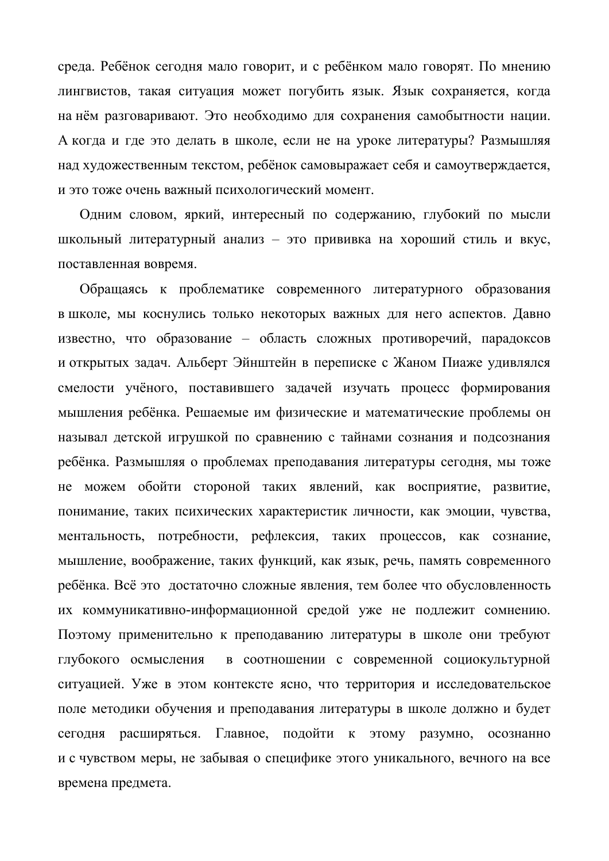среда. Ребёнок сегодня мало говорит, и с ребёнком мало говорят. По мнению лингвистов, такая ситуация может погубить язык. Язык сохраняется, когда на нём разговаривают. Это необходимо для сохранения самобытности нации. А когда и где это делать в школе, если не на уроке литературы? Размышляя над художественным текстом, ребёнок самовыражает себя и самоутверждается, и это тоже очень важный психологический момент.

Одним словом, яркий, интересный по содержанию, глубокий по мысли школьный литературный анализ - это прививка на хороший стиль и вкус, поставленная вовремя.

Обращаясь к проблематике современного литературного образования в школе, мы коснулись только некоторых важных для него аспектов. Давно известно, что образование – область сложных противоречий, парадоксов и открытых задач. Альберт Эйнштейн в переписке с Жаном Пиаже удивлялся смелости учёного, поставившего задачей изучать процесс формирования мышления ребёнка. Решаемые им физические и математические проблемы он называл детской игрушкой по сравнению с тайнами сознания и подсознания ребёнка. Размышляя о проблемах преподавания литературы сегодня, мы тоже не можем обойти стороной таких явлений, как восприятие, развитие, понимание, таких психических характеристик личности, как эмоции, чувства, ментальность, потребности, рефлексия, таких процессов, как сознание, мышление, воображение, таких функций, как язык, речь, память современного ребёнка. Всё это достаточно сложные явления, тем более что обусловленность их коммуникативно-информационной средой уже не подлежит сомнению. Поэтому применительно к преподаванию литературы в школе они требуют глубокого осмысления в соотношении с современной социокультурной ситуацией. Уже в этом контексте ясно, что территория и исследовательское поле методики обучения и преподавания литературы в школе должно и будет сегодня расширяться. Главное, подойти к этому разумно, осознанно и с чувством меры, не забывая о специфике этого уникального, вечного на все времена предмета.